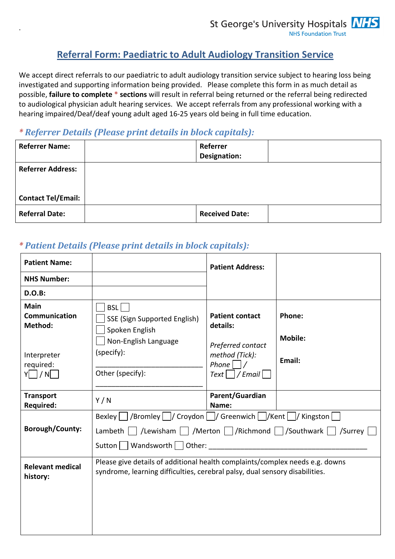# **Referral Form: Paediatric to Adult Audiology Transition Service**

We accept direct referrals to our paediatric to adult audiology transition service subject to hearing loss being investigated and supporting information being provided. Please complete this form in as much detail as possible, **failure to complete \* sections** will result in referral being returned or the referral being redirected to audiological physician adult hearing services. We accept referrals from any professional working with a hearing impaired/Deaf/deaf young adult aged 16-25 years old being in full time education.

## *\* Referrer Details (Please print details in block capitals):*

.

| <b>Referrer Name:</b>     | Referrer<br>Designation: |  |
|---------------------------|--------------------------|--|
| <b>Referrer Address:</b>  |                          |  |
|                           |                          |  |
| <b>Contact Tel/Email:</b> |                          |  |
| <b>Referral Date:</b>     | <b>Received Date:</b>    |  |

# *\* Patient Details (Please print details in block capitals):*

| <b>Patient Name:</b>                 |                                                                                                                                                             | <b>Patient Address:</b>                                       |                          |
|--------------------------------------|-------------------------------------------------------------------------------------------------------------------------------------------------------------|---------------------------------------------------------------|--------------------------|
| <b>NHS Number:</b>                   |                                                                                                                                                             |                                                               |                          |
| <b>D.O.B:</b>                        |                                                                                                                                                             |                                                               |                          |
| Main<br>Communication<br>Method:     | BSL  <br><b>SSE (Sign Supported English)</b><br>Spoken English<br>Non-English Language                                                                      | <b>Patient contact</b><br>details:<br>Preferred contact       | Phone:<br><b>Mobile:</b> |
| Interpreter<br>required:<br>Y / N    | (specify):<br>Other (specify):                                                                                                                              | method (Tick):<br>Phone $\vert$ $\vert$ /<br>$Text$   / Email | Email:                   |
| <b>Transport</b><br><b>Required:</b> | Y/N                                                                                                                                                         | Parent/Guardian<br>Name:                                      |                          |
|                                      | Bexley   /Bromley   / Croydon   / Greenwich   / Kent   / Kingston                                                                                           |                                                               |                          |
| <b>Borough/County:</b>               | Lambeth $\Box$ /Lewisham $\Box$ /Merton $\Box$ /Richmond $\Box$ /Southwark $\Box$ /Surrey $\Box$<br>Sutton     Wandsworth     Other:                        |                                                               |                          |
| <b>Relevant medical</b><br>history:  | Please give details of additional health complaints/complex needs e.g. downs<br>syndrome, learning difficulties, cerebral palsy, dual sensory disabilities. |                                                               |                          |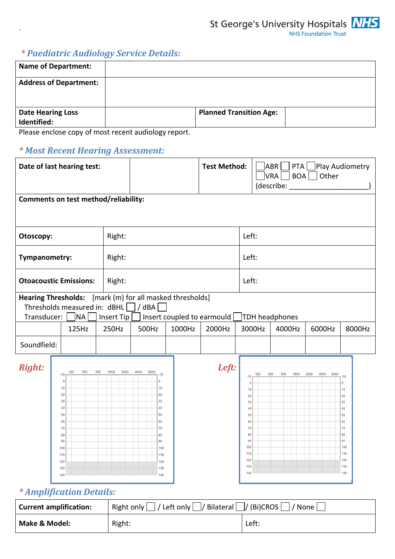

St George's University Hospitals **NHS** 

# *\* Paediatric Audiology Service Details:*

.

| <b>Name of Department:</b>              |                                |  |
|-----------------------------------------|--------------------------------|--|
| <b>Address of Department:</b>           |                                |  |
| <b>Date Hearing Loss</b><br>Identified: | <b>Planned Transition Age:</b> |  |

Please enclose copy of most recent audiology report.

## *\* Most Recent Hearing Assessment:*

| Date of last hearing test:                |                                                                                                                                    |                     | <b>Test Method:</b>                                                                                                 |        |                                      | <b>ABR</b><br>PTA<br>BOA<br><b>VRA</b><br>(describe:                                                      | Play Audiometry<br>Other |                                 |                      |                                                                                                                          |
|-------------------------------------------|------------------------------------------------------------------------------------------------------------------------------------|---------------------|---------------------------------------------------------------------------------------------------------------------|--------|--------------------------------------|-----------------------------------------------------------------------------------------------------------|--------------------------|---------------------------------|----------------------|--------------------------------------------------------------------------------------------------------------------------|
| Comments on test method/reliability:      |                                                                                                                                    |                     |                                                                                                                     |        |                                      |                                                                                                           |                          |                                 |                      |                                                                                                                          |
| Otoscopy:                                 |                                                                                                                                    | Right:              |                                                                                                                     |        |                                      | Left:                                                                                                     |                          |                                 |                      |                                                                                                                          |
| Tympanometry:                             |                                                                                                                                    | Right:              |                                                                                                                     |        |                                      | Left:                                                                                                     |                          |                                 |                      |                                                                                                                          |
| <b>Otoacoustic Emissions:</b>             |                                                                                                                                    | Right:              |                                                                                                                     |        |                                      | Left:                                                                                                     |                          |                                 |                      |                                                                                                                          |
| <b>Hearing Thresholds:</b><br>Transducer: | Thresholds measured in: $dBHL$ / $dBA$<br>NA  <br>125Hz                                                                            | Insert Tip<br>250Hz | [mark (m) for all masked thresholds]<br>500Hz                                                                       | 1000Hz | Insert coupled to earmould<br>2000Hz | 3000Hz                                                                                                    |                          | <b>TDH</b> headphones<br>4000Hz | 6000Hz               | 8000Hz                                                                                                                   |
| Soundfield:                               |                                                                                                                                    |                     |                                                                                                                     |        |                                      |                                                                                                           |                          |                                 |                      |                                                                                                                          |
| <b>Right:</b>                             | 250<br>500<br>125<br>$-10$<br>$\mathbf 0$<br>10<br>20<br>30<br>40<br>50<br>60<br>70<br>80<br>90<br>100<br>110<br>120<br>130<br>140 | 1000<br>2000        | 4000<br>8000<br>$-10$<br>0<br>10<br>20<br>30<br>40<br>50<br>60<br>70<br>80<br>90<br>100<br>110<br>120<br>130<br>140 |        | Left:                                | $-10$<br>$\circ$<br>10<br>20<br>30<br>40<br>50<br>60<br>70<br>80<br>90<br>100<br>110<br>120<br>130<br>140 | 125                      | 250<br>500<br>1000              | 2000<br>4000<br>8000 | $-10$<br>$\pmb{0}$<br>10 <sub>1</sub><br>20<br>30<br>40<br>50<br>60<br>70<br>80<br>90<br>100<br>110<br>120<br>130<br>140 |

# *\* Amplification Details:*

| <b>Current amplification:</b> | Right only $\vert$ / Left only $\vert$ / Bilateral $\vert$ / (Bi)CROS $\vert$<br> / None |       |  |
|-------------------------------|------------------------------------------------------------------------------------------|-------|--|
| Make & Model:                 | Right:                                                                                   | Left: |  |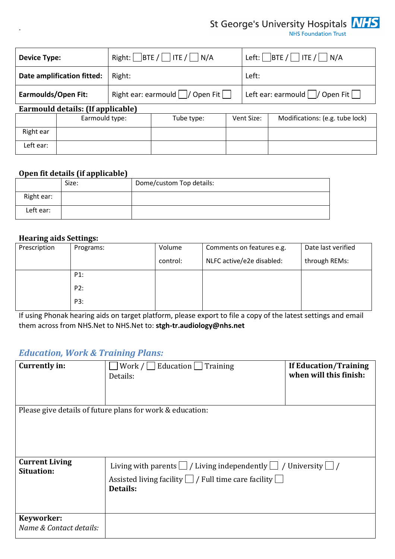# St George's University Hospitals **NHS**

| <b>Device Type:</b>        |                                   | Right: BTE / ITE / N/A           |            |                                               | Left: $\Box$ BTE / $\Box$ ITE / $\Box$ N/A |                                 |  |
|----------------------------|-----------------------------------|----------------------------------|------------|-----------------------------------------------|--------------------------------------------|---------------------------------|--|
|                            | Date amplification fitted:        | Right:                           |            |                                               | Left:                                      |                                 |  |
| <b>Earmoulds/Open Fit:</b> |                                   | Right ear: earmould     Open Fit |            | Left ear: earmould $\vert$ / Open Fit $\vert$ |                                            |                                 |  |
|                            | Earmould details: (If applicable) |                                  |            |                                               |                                            |                                 |  |
|                            | Earmould type:                    |                                  | Tube type: |                                               | Vent Size:                                 | Modifications: (e.g. tube lock) |  |
| Right ear                  |                                   |                                  |            |                                               |                                            |                                 |  |
| Left ear:                  |                                   |                                  |            |                                               |                                            |                                 |  |

#### **Open fit details (if applicable)**

|            | Size: | Dome/custom Top details: |
|------------|-------|--------------------------|
| Right ear: |       |                          |
| Left ear:  |       |                          |

### **Hearing aids Settings:**

.

| --<br>Prescription | Programs: | Volume   | Comments on features e.g. | Date last verified |
|--------------------|-----------|----------|---------------------------|--------------------|
|                    |           | control: | NLFC active/e2e disabled: | through REMs:      |
|                    | P1:       |          |                           |                    |
|                    | P2:       |          |                           |                    |
|                    | P3:       |          |                           |                    |

If using Phonak hearing aids on target platform, please export to file a copy of the latest settings and email them across from NHS.Net to NHS.Net to: **stgh-tr.audiology@nhs.net**

### *Education, Work & Training Plans:*

| <b>Currently in:</b>                       | Work $/ \Box$ Education $\Box$ Training                                        | <b>If Education/Training</b> |
|--------------------------------------------|--------------------------------------------------------------------------------|------------------------------|
|                                            | Details:                                                                       | when will this finish:       |
|                                            |                                                                                |                              |
|                                            |                                                                                |                              |
|                                            | Please give details of future plans for work & education:                      |                              |
|                                            |                                                                                |                              |
|                                            |                                                                                |                              |
|                                            |                                                                                |                              |
|                                            |                                                                                |                              |
| <b>Current Living</b><br><b>Situation:</b> | Living with parents $\Box$ / Living independently $\Box$ / University $\Box$ / |                              |
|                                            | Assisted living facility $\Box$ / Full time care facility $\Box$               |                              |
|                                            | Details:                                                                       |                              |
|                                            |                                                                                |                              |
|                                            |                                                                                |                              |
| Keyworker:                                 |                                                                                |                              |
| Name & Contact details:                    |                                                                                |                              |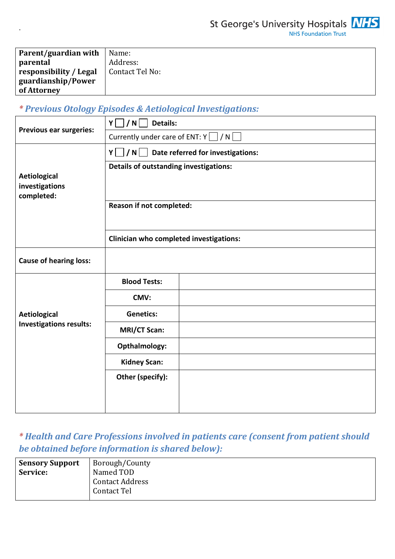

St George's University Hospitals **NHS** 

| Parent/guardian with   | Name:           |
|------------------------|-----------------|
| parental               | Address:        |
| responsibility / Legal | Contact Tel No: |
| guardianship/Power     |                 |
| of Attorney            |                 |

# *\* Previous Otology Episodes & Aetiological Investigations:*

.

|                                                     | Details:<br>Y<br>/ N                    |                                                     |  |  |  |
|-----------------------------------------------------|-----------------------------------------|-----------------------------------------------------|--|--|--|
| <b>Previous ear surgeries:</b>                      | Currently under care of ENT: $Y \cap N$ |                                                     |  |  |  |
|                                                     |                                         | $Y \cup / N \cup$ Date referred for investigations: |  |  |  |
| <b>Aetiological</b><br>investigations<br>completed: | Details of outstanding investigations:  |                                                     |  |  |  |
|                                                     | Reason if not completed:                |                                                     |  |  |  |
|                                                     | Clinician who completed investigations: |                                                     |  |  |  |
| <b>Cause of hearing loss:</b>                       |                                         |                                                     |  |  |  |
|                                                     | <b>Blood Tests:</b>                     |                                                     |  |  |  |
|                                                     | CMV:                                    |                                                     |  |  |  |
| <b>Aetiological</b>                                 | <b>Genetics:</b>                        |                                                     |  |  |  |
| <b>Investigations results:</b>                      | <b>MRI/CT Scan:</b>                     |                                                     |  |  |  |
|                                                     | Opthalmology:                           |                                                     |  |  |  |
|                                                     | <b>Kidney Scan:</b>                     |                                                     |  |  |  |
|                                                     | Other (specify):                        |                                                     |  |  |  |

*\* Health and Care Professions involved in patients care (consent from patient should be obtained before information is shared below):* 

| <b>Sensory Support</b> | Borough/County         |
|------------------------|------------------------|
| Service:               | Named TOD              |
|                        | <b>Contact Address</b> |
|                        | Contact Tel            |
|                        |                        |